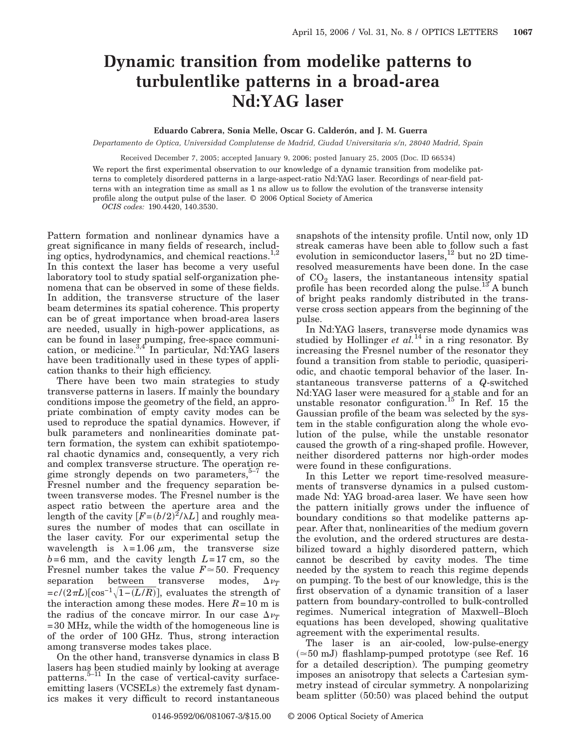## **Dynamic transition from modelike patterns to turbulentlike patterns in a broad-area Nd:YAG laser**

## **Eduardo Cabrera, Sonia Melle, Oscar G. Calderón, and J. M. Guerra**

*Departamento de Optica, Universidad Complutense de Madrid, Ciudad Universitaria s/n, 28040 Madrid, Spain*

Received December 7, 2005; accepted January 9, 2006; posted January 25, 2005 (Doc. ID 66534)

We report the first experimental observation to our knowledge of a dynamic transition from modelike patterns to completely disordered patterns in a large-aspect-ratio Nd:YAG laser. Recordings of near-field patterns with an integration time as small as 1 ns allow us to follow the evolution of the transverse intensity profile along the output pulse of the laser. © 2006 Optical Society of America *OCIS codes:* 190.4420, 140.3530.

Pattern formation and nonlinear dynamics have a great significance in many fields of research, including optics, hydrodynamics, and chemical reactions.<sup>1,2</sup> In this context the laser has become a very useful laboratory tool to study spatial self-organization phenomena that can be observed in some of these fields. In addition, the transverse structure of the laser beam determines its spatial coherence. This property can be of great importance when broad-area lasers are needed, usually in high-power applications, as can be found in laser pumping, free-space communication, or medicine.<sup>3,4</sup> In particular, Nd:YAG lasers have been traditionally used in these types of application thanks to their high efficiency.

There have been two main strategies to study transverse patterns in lasers. If mainly the boundary conditions impose the geometry of the field, an appropriate combination of empty cavity modes can be used to reproduce the spatial dynamics. However, if bulk parameters and nonlinearities dominate pattern formation, the system can exhibit spatiotemporal chaotic dynamics and, consequently, a very rich and complex transverse structure. The operation regime strongly depends on two parameters, $5-7$  the Fresnel number and the frequency separation between transverse modes. The Fresnel number is the aspect ratio between the aperture area and the length of the cavity  $[F=(b/2)^2/\lambda L]$  and roughly measures the number of modes that can oscillate in the laser cavity. For our experimental setup the wavelength is  $\lambda = 1.06 \mu m$ , the transverse size  $b=6$  mm, and the cavity length  $L=17$  cm, so the Fresnel number takes the value  $F \approx 50$ . Frequency separation between transverse modes,  $\Delta \nu_T$  $= c/(2\pi L)[\cos^{-1}\sqrt{1-(L/R)}]$ , evaluates the strength of the interaction among these modes. Here  $R=10$  m is the radius of the concave mirror. In our case  $\Delta \nu$ =30 MHz, while the width of the homogeneous line is of the order of 100 GHz. Thus, strong interaction among transverse modes takes place.

On the other hand, transverse dynamics in class B lasers has been studied mainly by looking at average patterns.5–11 In the case of vertical-cavity surfaceemitting lasers (VCSELs) the extremely fast dynamics makes it very difficult to record instantaneous snapshots of the intensity profile. Until now, only 1D streak cameras have been able to follow such a fast evolution in semiconductor lasers, $^{12}$  but no 2D timeresolved measurements have been done. In the case of  $CO<sub>2</sub>$  lasers, the instantaneous intensity spatial profile has been recorded along the pulse.<sup>13</sup> A bunch of bright peaks randomly distributed in the transverse cross section appears from the beginning of the pulse.

In Nd:YAG lasers, transverse mode dynamics was studied by Hollinger *et al.*<sup>14</sup> in a ring resonator. By increasing the Fresnel number of the resonator they found a transition from stable to periodic, quasiperiodic, and chaotic temporal behavior of the laser. Instantaneous transverse patterns of a *Q*-switched Nd:YAG laser were measured for a stable and for an unstable resonator configuration.<sup>15</sup> In Ref. 15 the Gaussian profile of the beam was selected by the system in the stable configuration along the whole evolution of the pulse, while the unstable resonator caused the growth of a ring-shaped profile. However, neither disordered patterns nor high-order modes were found in these configurations.

In this Letter we report time-resolved measurements of transverse dynamics in a pulsed custommade Nd: YAG broad-area laser. We have seen how the pattern initially grows under the influence of boundary conditions so that modelike patterns appear. After that, nonlinearities of the medium govern the evolution, and the ordered structures are destabilized toward a highly disordered pattern, which cannot be described by cavity modes. The time needed by the system to reach this regime depends on pumping. To the best of our knowledge, this is the first observation of a dynamic transition of a laser pattern from boundary-controlled to bulk-controlled regimes. Numerical integration of Maxwell–Bloch equations has been developed, showing qualitative agreement with the experimental results.

The laser is an air-cooled, low-pulse-energy  $( \approx 50 \text{ mJ})$  flashlamp-pumped prototype (see Ref. 16 for a detailed description). The pumping geometry imposes an anisotropy that selects a Cartesian symmetry instead of circular symmetry. A nonpolarizing beam splitter (50:50) was placed behind the output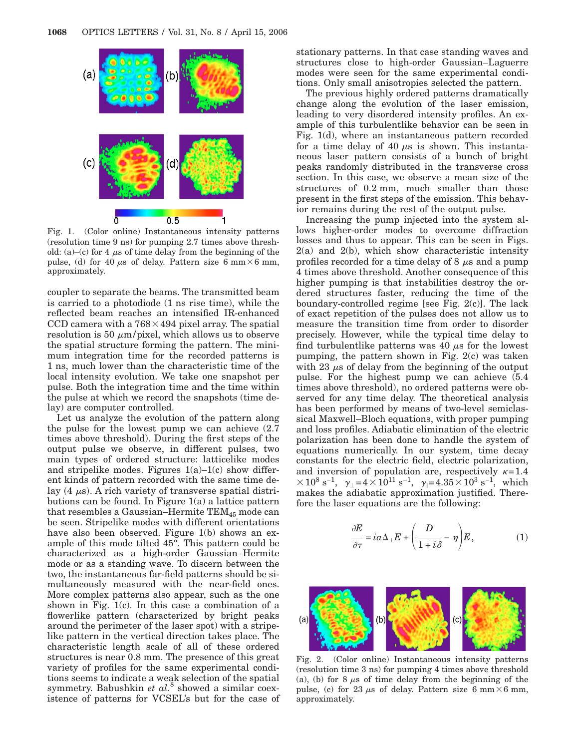

Fig. 1. (Color online) Instantaneous intensity patterns (resolution time 9 ns) for pumping 2.7 times above threshold: (a)–(c) for 4  $\mu$ s of time delay from the beginning of the pulse, (d) for 40  $\mu$ s of delay. Pattern size 6 mm $\times$ 6 mm, approximately.

coupler to separate the beams. The transmitted beam is carried to a photodiode (1 ns rise time), while the reflected beam reaches an intensified IR-enhanced CCD camera with a  $768\times494$  pixel array. The spatial resolution is 50  $\mu$ m/pixel, which allows us to observe the spatial structure forming the pattern. The minimum integration time for the recorded patterns is 1 ns, much lower than the characteristic time of the local intensity evolution. We take one snapshot per pulse. Both the integration time and the time within the pulse at which we record the snapshots (time delay) are computer controlled.

Let us analyze the evolution of the pattern along the pulse for the lowest pump we can achieve (2.7 times above threshold). During the first steps of the output pulse we observe, in different pulses, two main types of ordered structure: latticelike modes and stripelike modes. Figures  $1(a)-1(c)$  show different kinds of pattern recorded with the same time delay  $(4 \mu s)$ . A rich variety of transverse spatial distributions can be found. In Figure 1(a) a lattice pattern that resembles a Gaussian–Hermite  $TEM_{45}$  mode can be seen. Stripelike modes with different orientations have also been observed. Figure 1(b) shows an example of this mode tilted 45°. This pattern could be characterized as a high-order Gaussian–Hermite mode or as a standing wave. To discern between the two, the instantaneous far-field patterns should be simultaneously measured with the near-field ones. More complex patterns also appear, such as the one shown in Fig. 1(c). In this case a combination of a flowerlike pattern (characterized by bright peaks around the perimeter of the laser spot) with a stripelike pattern in the vertical direction takes place. The characteristic length scale of all of these ordered structures is near 0.8 mm. The presence of this great variety of profiles for the same experimental conditions seems to indicate a weak selection of the spatial symmetry. Babushkin *et al.*<sup>8</sup> showed a similar coexistence of patterns for VCSEL's but for the case of stationary patterns. In that case standing waves and structures close to high-order Gaussian–Laguerre modes were seen for the same experimental conditions. Only small anisotropies selected the pattern.

The previous highly ordered patterns dramatically change along the evolution of the laser emission, leading to very disordered intensity profiles. An example of this turbulentlike behavior can be seen in Fig. 1(d), where an instantaneous pattern recorded for a time delay of 40  $\mu$ s is shown. This instantaneous laser pattern consists of a bunch of bright peaks randomly distributed in the transverse cross section. In this case, we observe a mean size of the structures of 0.2 mm, much smaller than those present in the first steps of the emission. This behavior remains during the rest of the output pulse.

Increasing the pump injected into the system allows higher-order modes to overcome diffraction losses and thus to appear. This can be seen in Figs.  $2(a)$  and  $2(b)$ , which show characteristic intensity profiles recorded for a time delay of 8  $\mu$ s and a pump 4 times above threshold. Another consequence of this higher pumping is that instabilities destroy the ordered structures faster, reducing the time of the boundary-controlled regime [see Fig. 2(c)]. The lack of exact repetition of the pulses does not allow us to measure the transition time from order to disorder precisely. However, while the typical time delay to find turbulentlike patterns was 40  $\mu$ s for the lowest pumping, the pattern shown in Fig. 2(c) was taken with 23  $\mu$ s of delay from the beginning of the output pulse. For the highest pump we can achieve (5.4 times above threshold), no ordered patterns were observed for any time delay. The theoretical analysis has been performed by means of two-level semiclassical Maxwell–Bloch equations, with proper pumping and loss profiles. Adiabatic elimination of the electric polarization has been done to handle the system of equations numerically. In our system, time decay constants for the electric field, electric polarization, and inversion of population are, respectively  $\kappa = 1.4$  $\times 10^8$  s<sup>-1</sup>,  $\gamma_{\perp} = 4 \times 10^{11}$  s<sup>-1</sup>,  $\gamma_{\parallel} = 4.35 \times 10^3$  s<sup>-1</sup>, which makes the adiabatic approximation justified. Therefore the laser equations are the following:

$$
\frac{\partial E}{\partial \tau} = i\alpha \Delta_{\perp} E + \left(\frac{D}{1 + i\delta} - \eta\right) E, \tag{1}
$$



Fig. 2. (Color online) Instantaneous intensity patterns (resolution time 3 ns) for pumping 4 times above threshold (a), (b) for  $8 \mu s$  of time delay from the beginning of the pulse, (c) for 23  $\mu$ s of delay. Pattern size 6 mm $\times$ 6 mm, approximately.